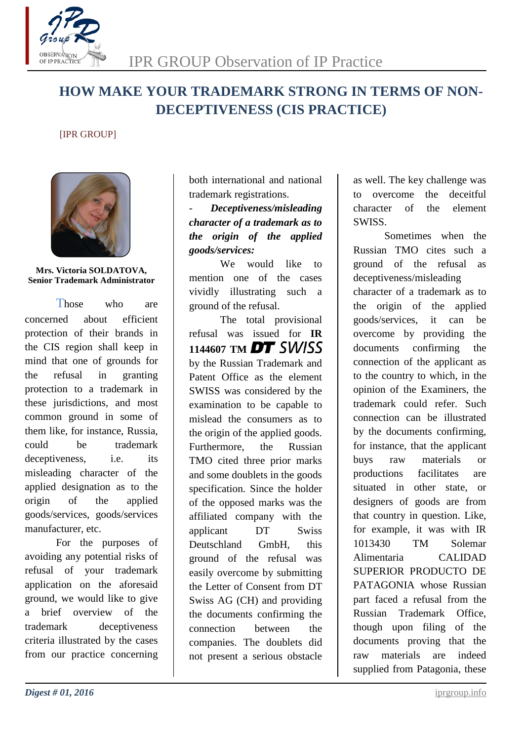

# **HOW MAKE YOUR TRADEMARK STRONG IN TERMS OF NON-DECEPTIVENESS (CIS PRACTICE)**

### [IPR GROUP]



#### **Mrs. Victoria SOLDATOVA, Senior Trademark Administrator**

Those who are concerned about efficient protection of their brands in the CIS region shall keep in mind that one of grounds for the refusal in granting protection to a trademark in these jurisdictions, and most common ground in some of them like, for instance, Russia, could be trademark deceptiveness, i.e. its misleading character of the applied designation as to the origin of the applied goods/services, goods/services manufacturer, etc.

For the purposes of avoiding any potential risks of refusal of your trademark application on the aforesaid ground, we would like to give a brief overview of the trademark deceptiveness criteria illustrated by the cases from our practice concerning

both international and national trademark registrations.

- *Deceptiveness/misleading character of a trademark as to the origin of the applied goods/services:*

We would like to mention one of the cases vividly illustrating such a ground of the refusal.

The total provisional refusal was issued for **IR**  1144607 TM **DT** SWISS by the Russian Trademark and Patent Office as the element SWISS was considered by the examination to be capable to mislead the consumers as to the origin of the applied goods. Furthermore, the Russian TMO cited three prior marks and some doublets in the goods specification. Since the holder of the opposed marks was the affiliated company with the applicant DT Swiss Deutschland GmbH, this ground of the refusal was easily overcome by submitting the Letter of Consent from DT Swiss AG (CH) and providing the documents confirming the connection between the companies. The doublets did not present a serious obstacle

as well. The key challenge was to overcome the deceitful character of the element SWISS.

Sometimes when the Russian TMO cites such a ground of the refusal as deceptiveness/misleading character of a trademark as to the origin of the applied goods/services, it can be overcome by providing the documents confirming the connection of the applicant as to the country to which, in the opinion of the Examiners, the trademark could refer. Such connection can be illustrated by the documents confirming, for instance, that the applicant buys raw materials or productions facilitates are situated in other state, or designers of goods are from that country in question. Like, for example, it was with IR 1013430 TM Solemar Alimentaria CALIDAD SUPERIOR PRODUCTO DE PATAGONIA whose Russian part faced a refusal from the Russian Trademark Office, though upon filing of the documents proving that the raw materials are indeed supplied from Patagonia, these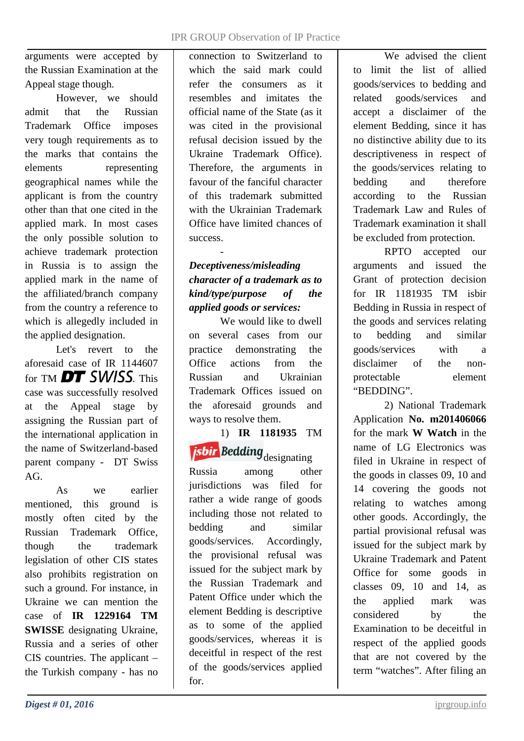arguments were accepted by the Russian Examination at the Appeal stage though.

However, we should admit that the Russian Trademark Office imposes very tough requirements as to the marks that contains the elements representing geographical names while the applicant is from the country other than that one cited in the applied mark. In most cases the only possible solution to achieve trademark protection in Russia is to assign the applied mark in the name of the affiliated/branch company from the country a reference to which is allegedly included in the applied designation.

Let's revert to the aforesaid case of IR 1144607 for TM  $DT$  SWISS This case was successfully resolved at the Appeal stage by assigning the Russian part of the international application in the name of Switzerland-based parent company - DT Swiss AG.

As we earlier mentioned, this ground is mostly often cited by the Russian Trademark Office, though the trademark legislation of other CIS states also prohibits registration on such a ground. For instance, in Ukraine we can mention the case of **IR 1229164 TM SWISSE** designating Ukraine, Russia and a series of other CIS countries. The applicant – the Turkish company - has no

connection to Switzerland to which the said mark could refer the consumers as it resembles and imitates the official name of the State (as it was cited in the provisional refusal decision issued by the Ukraine Trademark Office). Therefore, the arguments in favour of the fanciful character of this trademark submitted with the Ukrainian Trademark Office have limited chances of success.

# *Deceptiveness/misleading character of a trademark as to kind/type/purpose of the applied goods or services:*

-

We would like to dwell on several cases from our practice demonstrating the Office actions from the Russian and Ukrainian Trademark Offices issued on the aforesaid grounds and ways to resolve them.

1) **IR 1181935** TM *isbir* Bedding designating

Russia among other jurisdictions was filed for rather a wide range of goods including those not related to bedding and similar goods/services. Accordingly, the provisional refusal was issued for the subject mark by the Russian Trademark and Patent Office under which the element Bedding is descriptive as to some of the applied goods/services, whereas it is deceitful in respect of the rest of the goods/services applied for.

We advised the client to limit the list of allied goods/services to bedding and related goods/services and accept a disclaimer of the element Bedding, since it has no distinctive ability due to its descriptiveness in respect of the goods/services relating to bedding and therefore according to the Russian Trademark Law and Rules of Trademark examination it shall be excluded from protection.

RPTO accepted our arguments and issued the Grant of protection decision for IR 1181935 TM isbir Bedding in Russia in respect of the goods and services relating to bedding and similar goods/services with a disclaimer of the nonprotectable element "BEDDING".

2) National Trademark Application **No. m201406066** for the mark **W Watch** in the name of LG Electronics was filed in Ukraine in respect of the goods in classes 09, 10 and 14 covering the goods not relating to watches among other goods. Accordingly, the partial provisional refusal was issued for the subject mark by Ukraine Trademark and Patent Office for some goods in classes 09, 10 and 14, as the applied mark was considered by the Examination to be deceitful in respect of the applied goods that are not covered by the term "watches". After filing an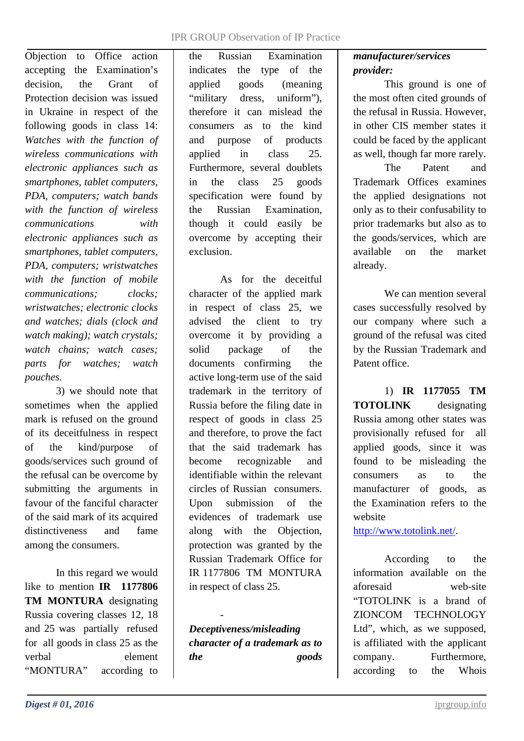#### IPR GROUP Observation of IP Practice

Objection to Office action accepting the Examination's decision, the Grant of Protection decision was issued in Ukraine in respect of the following goods in class 14: *Watches with the function of wireless communications with electronic appliances such as smartphones, tablet computers, PDA, computers; watch bands with the function of wireless communications with electronic appliances such as smartphones, tablet computers, PDA, computers; wristwatches with the function of mobile communications; clocks; wristwatches; electronic clocks and watches; dials (clock and watch making); watch crystals; watch chains; watch cases; parts for watches; watch pouches.*

3) we should note that sometimes when the applied mark is refused on the ground of its deceitfulness in respect of the kind/purpose of goods/services such ground of the refusal can be overcome by submitting the arguments in favour of the fanciful character of the said mark of its acquired distinctiveness and fame among the consumers.

In this regard we would like to mention **IR 1177806 TM MONTURA** designating Russia covering classes 12, 18 and 25 was partially refused for all goods in class 25 as the verbal element "MONTURA" according to

the Russian Examination indicates the type of the applied goods (meaning "military dress, uniform"), therefore it can mislead the consumers as to the kind and purpose of products applied in class 25. Furthermore, several doublets in the class 25 goods specification were found by the Russian Examination, though it could easily be overcome by accepting their exclusion.

As for the deceitful character of the applied mark in respect of class 25, we advised the client to try overcome it by providing a solid package of the documents confirming the active long-term use of the said trademark in the territory of Russia before the filing date in respect of goods in class 25 and therefore, to prove the fact that the said trademark has become recognizable and identifiable within the relevant circles of Russian consumers. Upon submission of the evidences of trademark use along with the Objection, protection was granted by the Russian Trademark Office for IR 1177806 TM MONTURA in respect of class 25.

- *Deceptiveness/misleading character of a trademark as to the goods* 

# *manufacturer/services provider:*

This ground is one of the most often cited grounds of the refusal in Russia. However, in other CIS member states it could be faced by the applicant as well, though far more rarely.

The Patent and Trademark Offices examines the applied designations not only as to their confusability to prior trademarks but also as to the goods/services, which are available on the market already.

We can mention several cases successfully resolved by our company where such a ground of the refusal was cited by the Russian Trademark and Patent office.

1) **IR 1177055 TM TOTOLINK** designating Russia among other states was provisionally refused for all applied goods, since it was found to be misleading the consumers as to the manufacturer of goods, as the Examination refers to the website

[http://www.totolink.net/.](http://www.totolink.net/)

According to the information available on the aforesaid web-site "TOTOLINK is a brand of ZIONCOM TECHNOLOGY Ltd", which, as we supposed, is affiliated with the applicant company. Furthermore, according to the Whois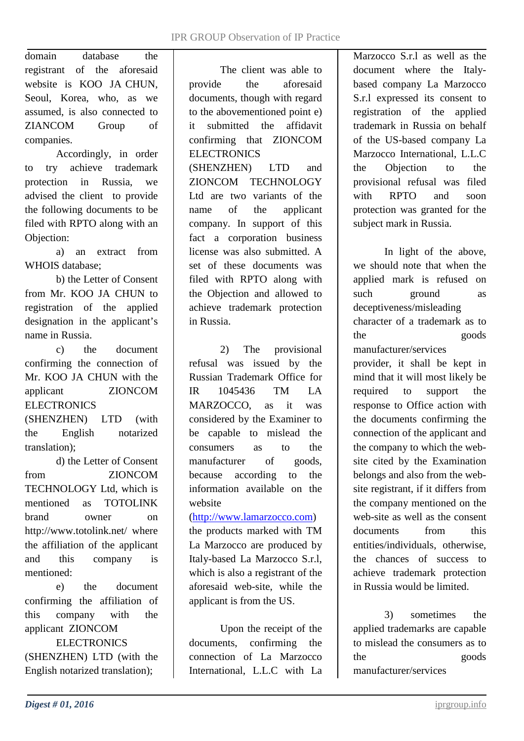domain database the registrant of the aforesaid website is KOO JA CHUN, Seoul, Korea, who, as we assumed, is also connected to ZIANCOM Group of companies.

Accordingly, in order to try achieve trademark protection in Russia, we advised the client to provide the following documents to be filed with RPTO along with an Objection:

a) an extract from WHOIS database;

b) the Letter of Consent from Mr. KOO JA CHUN to registration of the applied designation in the applicant's name in Russia.

c) the document confirming the connection of Mr. KOO JA CHUN with the applicant ZIONCOM **ELECTRONICS** 

(SHENZHEN) LTD (with the English notarized translation);

d) the Letter of Consent from ZIONCOM TECHNOLOGY Ltd, which is mentioned as TOTOLINK brand owner on http://www.totolink.net/ where the affiliation of the applicant and this company is mentioned:

e) the document confirming the affiliation of this company with the applicant ZIONCOM

ELECTRONICS (SHENZHEN) LTD (with the English notarized translation);

The client was able to provide the aforesaid documents, though with regard to the abovementioned point e) it submitted the affidavit confirming that ZIONCOM **ELECTRONICS** (SHENZHEN) LTD and ZIONCOM TECHNOLOGY Ltd are two variants of the name of the applicant company. In support of this fact a corporation business license was also submitted. A set of these documents was filed with RPTO along with the Objection and allowed to achieve trademark protection in Russia.

2) The provisional refusal was issued by the Russian Trademark Office for IR 1045436 TM LA MARZOCCO, as it was considered by the Examiner to be capable to mislead the consumers as to the manufacturer of goods. because according to the information available on the website

### [\(http://www.lamarzocco.com\)](http://www.lamarzocco.com/)

the products marked with TM La Marzocco are produced by Italy-based La Marzocco S.r.l, which is also a registrant of the aforesaid web-site, while the applicant is from the US.

Upon the receipt of the documents, confirming the connection of La Marzocco International, L.L.C with La Marzocco S.r.l as well as the document where the Italybased company La Marzocco S.r.l expressed its consent to registration of the applied trademark in Russia on behalf of the US-based company La Marzocco International, L.L.C the Objection to the provisional refusal was filed with RPTO and soon protection was granted for the subject mark in Russia.

In light of the above, we should note that when the applied mark is refused on such ground as deceptiveness/misleading character of a trademark as to the goods manufacturer/services provider, it shall be kept in mind that it will most likely be required to support the response to Office action with the documents confirming the connection of the applicant and the company to which the website cited by the Examination belongs and also from the website registrant, if it differs from the company mentioned on the web-site as well as the consent documents from this entities/individuals, otherwise, the chances of success to achieve trademark protection in Russia would be limited.

3) sometimes the applied trademarks are capable to mislead the consumers as to the goods manufacturer/services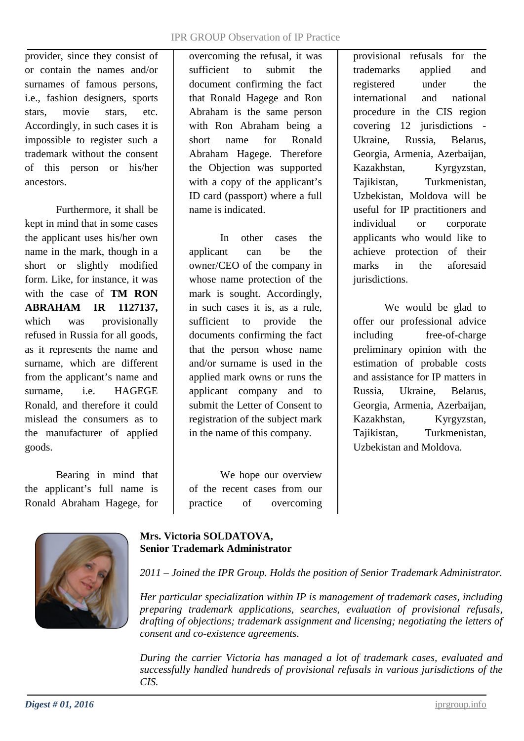provider, since they consist of or contain the names and/or surnames of famous persons, i.e., fashion designers, sports stars, movie stars, etc. Accordingly, in such cases it is impossible to register such a trademark without the consent of this person or his/her ancestors.

Furthermore, it shall be kept in mind that in some cases the applicant uses his/her own name in the mark, though in a short or slightly modified form. Like, for instance, it was with the case of **TM RON ABRAHAM IR 1127137,** which was provisionally refused in Russia for all goods, as it represents the name and surname, which are different from the applicant's name and surname, i.e. HAGEGE Ronald, and therefore it could mislead the consumers as to the manufacturer of applied goods.

Bearing in mind that the applicant's full name is Ronald Abraham Hagege, for overcoming the refusal, it was sufficient to submit the document confirming the fact that Ronald Hagege and Ron Abraham is the same person with Ron Abraham being a short name for Ronald Abraham Hagege. Therefore the Objection was supported with a copy of the applicant's ID card (passport) where a full name is indicated.

In other cases the applicant can be the owner/CEO of the company in whose name protection of the mark is sought. Accordingly, in such cases it is, as a rule, sufficient to provide the documents confirming the fact that the person whose name and/or surname is used in the applied mark owns or runs the applicant company and to submit the Letter of Consent to registration of the subject mark in the name of this company.

We hope our overview of the recent cases from our practice of overcoming

provisional refusals for the trademarks applied and registered under the international and national procedure in the CIS region covering 12 jurisdictions - Ukraine, Russia, Belarus, Georgia, Armenia, Azerbaijan, Kazakhstan, Kyrgyzstan, Tajikistan, Turkmenistan, Uzbekistan, Moldova will be useful for IP practitioners and individual or corporate applicants who would like to achieve protection of their marks in the aforesaid jurisdictions.

We would be glad to offer our professional advice including free-of-charge preliminary opinion with the estimation of probable costs and assistance for IP matters in Russia, Ukraine, Belarus, Georgia, Armenia, Azerbaijan, Kazakhstan, Kyrgyzstan, Tajikistan, Turkmenistan, Uzbekistan and Moldova.



# **Mrs. Victoria SOLDATOVA, Senior Trademark Administrator**

*2011 – Joined the IPR Group. Holds the position of Senior Trademark Administrator.*

*Her particular specialization within IP is management of trademark cases, including preparing trademark applications, searches, evaluation of provisional refusals, drafting of objections; trademark assignment and licensing; negotiating the letters of consent and co-existence agreements.*

*During the carrier Victoria has managed a lot of trademark cases, evaluated and successfully handled hundreds of provisional refusals in various jurisdictions of the CIS.*